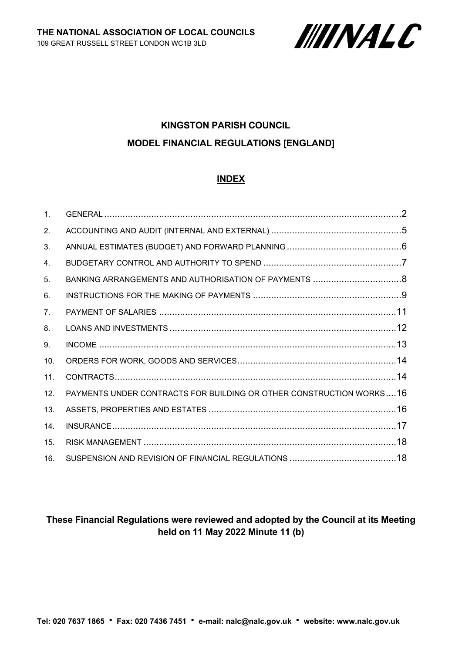

# **KINGSTON PARISH COUNCIL MODEL FINANCIAL REGULATIONS [ENGLAND]**

#### **INDEX**

| 1 <sub>1</sub> |                                                                     |  |
|----------------|---------------------------------------------------------------------|--|
| 2.             |                                                                     |  |
| 3.             |                                                                     |  |
| 4.             |                                                                     |  |
| 5.             |                                                                     |  |
| 6.             |                                                                     |  |
| 7 <sub>1</sub> |                                                                     |  |
| 8.             |                                                                     |  |
| 9.             |                                                                     |  |
| 10.            |                                                                     |  |
| 11.            |                                                                     |  |
| 12.            | PAYMENTS UNDER CONTRACTS FOR BUILDING OR OTHER CONSTRUCTION WORKS16 |  |
| 13.            |                                                                     |  |
| 14.            |                                                                     |  |
| 15.            |                                                                     |  |
| 16.            |                                                                     |  |

# **These Financial Regulations were reviewed and adopted by the Council at its Meeting held on 11 May 2022 Minute 11 (b)**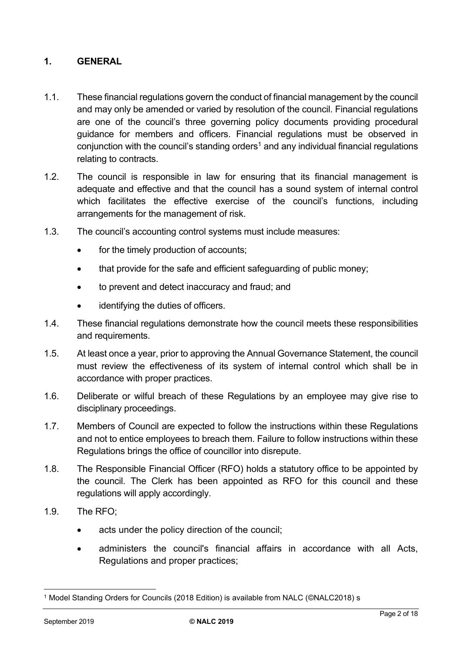### <span id="page-1-0"></span>**1. GENERAL**

- 1.1. These financial regulations govern the conduct of financial management by the council and may only be amended or varied by resolution of the council. Financial regulations are one of the council's three governing policy documents providing procedural guidance for members and officers. Financial regulations must be observed in conjunction with the council's standing orders<sup>1</sup> and any individual financial regulations relating to contracts.
- 1.2. The council is responsible in law for ensuring that its financial management is adequate and effective and that the council has a sound system of internal control which facilitates the effective exercise of the council's functions, including arrangements for the management of risk.
- 1.3. The council's accounting control systems must include measures:
	- for the timely production of accounts;
	- that provide for the safe and efficient safeguarding of public money:
	- to prevent and detect inaccuracy and fraud; and
	- identifying the duties of officers.
- 1.4. These financial regulations demonstrate how the council meets these responsibilities and requirements.
- 1.5. At least once a year, prior to approving the Annual Governance Statement, the council must review the effectiveness of its system of internal control which shall be in accordance with proper practices.
- 1.6. Deliberate or wilful breach of these Regulations by an employee may give rise to disciplinary proceedings.
- 1.7. Members of Council are expected to follow the instructions within these Regulations and not to entice employees to breach them. Failure to follow instructions within these Regulations brings the office of councillor into disrepute.
- 1.8. The Responsible Financial Officer (RFO) holds a statutory office to be appointed by the council. The Clerk has been appointed as RFO for this council and these regulations will apply accordingly.
- 1.9. The RFO;
	- acts under the policy direction of the council;
	- administers the council's financial affairs in accordance with all Acts, Regulations and proper practices;

<sup>1</sup> Model Standing Orders for Councils (2018 Edition) is available from NALC (©NALC2018) s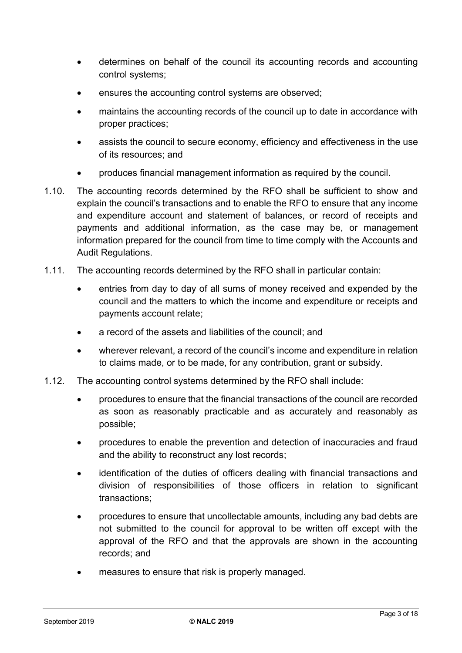- determines on behalf of the council its accounting records and accounting control systems;
- ensures the accounting control systems are observed;
- maintains the accounting records of the council up to date in accordance with proper practices;
- assists the council to secure economy, efficiency and effectiveness in the use of its resources; and
- produces financial management information as required by the council.
- 1.10. The accounting records determined by the RFO shall be sufficient to show and explain the council's transactions and to enable the RFO to ensure that any income and expenditure account and statement of balances, or record of receipts and payments and additional information, as the case may be, or management information prepared for the council from time to time comply with the Accounts and Audit Regulations.
- 1.11. The accounting records determined by the RFO shall in particular contain:
	- entries from day to day of all sums of money received and expended by the council and the matters to which the income and expenditure or receipts and payments account relate;
	- a record of the assets and liabilities of the council; and
	- wherever relevant, a record of the council's income and expenditure in relation to claims made, or to be made, for any contribution, grant or subsidy.
- 1.12. The accounting control systems determined by the RFO shall include:
	- procedures to ensure that the financial transactions of the council are recorded as soon as reasonably practicable and as accurately and reasonably as possible;
	- procedures to enable the prevention and detection of inaccuracies and fraud and the ability to reconstruct any lost records;
	- identification of the duties of officers dealing with financial transactions and division of responsibilities of those officers in relation to significant transactions;
	- procedures to ensure that uncollectable amounts, including any bad debts are not submitted to the council for approval to be written off except with the approval of the RFO and that the approvals are shown in the accounting records; and
	- measures to ensure that risk is properly managed.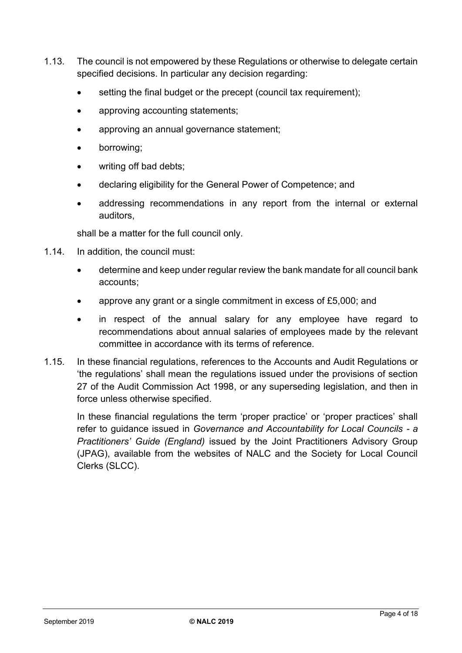- 1.13. The council is not empowered by these Regulations or otherwise to delegate certain specified decisions. In particular any decision regarding:
	- setting the final budget or the precept (council tax requirement);
	- approving accounting statements;
	- approving an annual governance statement;
	- borrowing;
	- writing off bad debts;
	- declaring eligibility for the General Power of Competence; and
	- addressing recommendations in any report from the internal or external auditors,

shall be a matter for the full council only.

- 1.14. In addition, the council must:
	- determine and keep under regular review the bank mandate for all council bank accounts;
	- approve any grant or a single commitment in excess of £5,000; and
	- in respect of the annual salary for any employee have regard to recommendations about annual salaries of employees made by the relevant committee in accordance with its terms of reference.
- 1.15. In these financial regulations, references to the Accounts and Audit Regulations or 'the regulations' shall mean the regulations issued under the provisions of section 27 of the Audit Commission Act 1998, or any superseding legislation, and then in force unless otherwise specified.

<span id="page-3-0"></span>In these financial regulations the term 'proper practice' or 'proper practices' shall refer to guidance issued in *Governance and Accountability for Local Councils - a Practitioners' Guide (England)* issued by the Joint Practitioners Advisory Group (JPAG), available from the websites of NALC and the Society for Local Council Clerks (SLCC).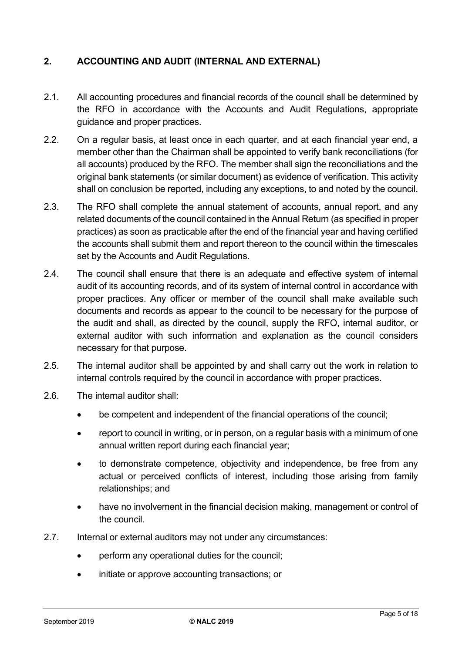## **2. ACCOUNTING AND AUDIT (INTERNAL AND EXTERNAL)**

- 2.1. All accounting procedures and financial records of the council shall be determined by the RFO in accordance with the Accounts and Audit Regulations, appropriate guidance and proper practices.
- 2.2. On a regular basis, at least once in each quarter, and at each financial year end, a member other than the Chairman shall be appointed to verify bank reconciliations (for all accounts) produced by the RFO. The member shall sign the reconciliations and the original bank statements (or similar document) as evidence of verification. This activity shall on conclusion be reported, including any exceptions, to and noted by the council.
- 2.3. The RFO shall complete the annual statement of accounts, annual report, and any related documents of the council contained in the Annual Return (as specified in proper practices) as soon as practicable after the end of the financial year and having certified the accounts shall submit them and report thereon to the council within the timescales set by the Accounts and Audit Regulations.
- 2.4. The council shall ensure that there is an adequate and effective system of internal audit of its accounting records, and of its system of internal control in accordance with proper practices. Any officer or member of the council shall make available such documents and records as appear to the council to be necessary for the purpose of the audit and shall, as directed by the council, supply the RFO, internal auditor, or external auditor with such information and explanation as the council considers necessary for that purpose.
- 2.5. The internal auditor shall be appointed by and shall carry out the work in relation to internal controls required by the council in accordance with proper practices.
- 2.6. The internal auditor shall:
	- be competent and independent of the financial operations of the council:
	- report to council in writing, or in person, on a regular basis with a minimum of one annual written report during each financial year;
	- to demonstrate competence, objectivity and independence, be free from any actual or perceived conflicts of interest, including those arising from family relationships; and
	- have no involvement in the financial decision making, management or control of the council.
- 2.7. Internal or external auditors may not under any circumstances:
	- perform any operational duties for the council;
	- initiate or approve accounting transactions; or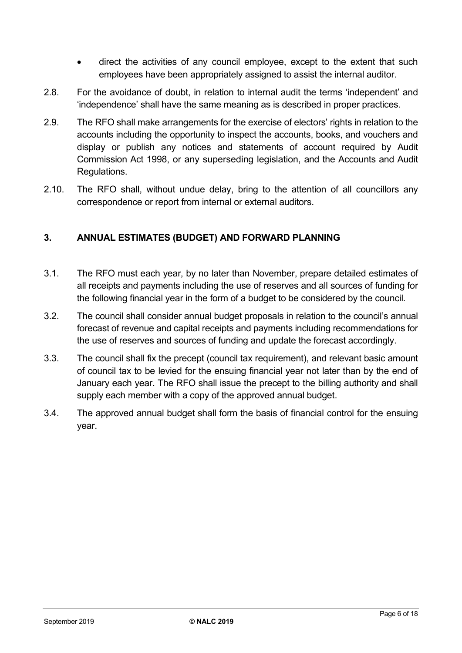- direct the activities of any council employee, except to the extent that such employees have been appropriately assigned to assist the internal auditor.
- 2.8. For the avoidance of doubt, in relation to internal audit the terms 'independent' and 'independence' shall have the same meaning as is described in proper practices.
- 2.9. The RFO shall make arrangements for the exercise of electors' rights in relation to the accounts including the opportunity to inspect the accounts, books, and vouchers and display or publish any notices and statements of account required by Audit Commission Act 1998, or any superseding legislation, and the Accounts and Audit Regulations.
- 2.10. The RFO shall, without undue delay, bring to the attention of all councillors any correspondence or report from internal or external auditors.

## <span id="page-5-0"></span>**3. ANNUAL ESTIMATES (BUDGET) AND FORWARD PLANNING**

- 3.1. The RFO must each year, by no later than November, prepare detailed estimates of all receipts and payments including the use of reserves and all sources of funding for the following financial year in the form of a budget to be considered by the council.
- 3.2. The council shall consider annual budget proposals in relation to the council's annual forecast of revenue and capital receipts and payments including recommendations for the use of reserves and sources of funding and update the forecast accordingly.
- 3.3. The council shall fix the precept (council tax requirement), and relevant basic amount of council tax to be levied for the ensuing financial year not later than by the end of January each year. The RFO shall issue the precept to the billing authority and shall supply each member with a copy of the approved annual budget.
- <span id="page-5-1"></span>3.4. The approved annual budget shall form the basis of financial control for the ensuing year.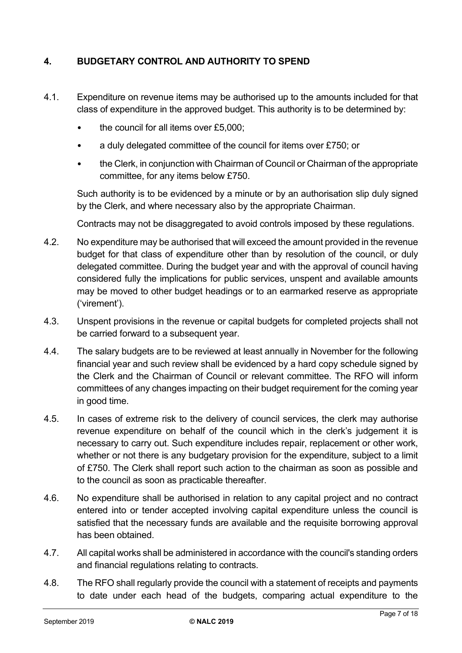# **4. BUDGETARY CONTROL AND AUTHORITY TO SPEND**

- 4.1. Expenditure on revenue items may be authorised up to the amounts included for that class of expenditure in the approved budget. This authority is to be determined by:
	- the council for all items over £5,000;
	- a duly delegated committee of the council for items over £750; or
	- the Clerk, in conjunction with Chairman of Council or Chairman of the appropriate committee, for any items below £750.

Such authority is to be evidenced by a minute or by an authorisation slip duly signed by the Clerk, and where necessary also by the appropriate Chairman.

Contracts may not be disaggregated to avoid controls imposed by these regulations.

- 4.2. No expenditure may be authorised that will exceed the amount provided in the revenue budget for that class of expenditure other than by resolution of the council, or duly delegated committee. During the budget year and with the approval of council having considered fully the implications for public services, unspent and available amounts may be moved to other budget headings or to an earmarked reserve as appropriate ('virement').
- 4.3. Unspent provisions in the revenue or capital budgets for completed projects shall not be carried forward to a subsequent year.
- 4.4. The salary budgets are to be reviewed at least annually in November for the following financial year and such review shall be evidenced by a hard copy schedule signed by the Clerk and the Chairman of Council or relevant committee. The RFO will inform committees of any changes impacting on their budget requirement for the coming year in good time.
- 4.5. In cases of extreme risk to the delivery of council services, the clerk may authorise revenue expenditure on behalf of the council which in the clerk's judgement it is necessary to carry out. Such expenditure includes repair, replacement or other work, whether or not there is any budgetary provision for the expenditure, subject to a limit of £750. The Clerk shall report such action to the chairman as soon as possible and to the council as soon as practicable thereafter.
- 4.6. No expenditure shall be authorised in relation to any capital project and no contract entered into or tender accepted involving capital expenditure unless the council is satisfied that the necessary funds are available and the requisite borrowing approval has been obtained.
- 4.7. All capital works shall be administered in accordance with the council's standing orders and financial regulations relating to contracts.
- 4.8. The RFO shall regularly provide the council with a statement of receipts and payments to date under each head of the budgets, comparing actual expenditure to the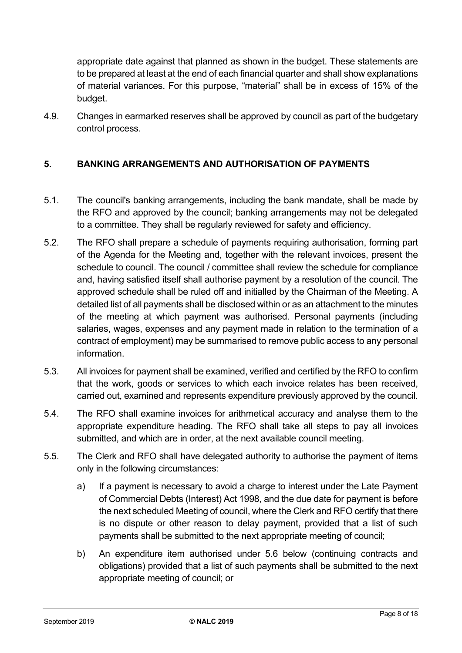appropriate date against that planned as shown in the budget. These statements are to be prepared at least at the end of each financial quarter and shall show explanations of material variances. For this purpose, "material" shall be in excess of 15% of the budget.

4.9. Changes in earmarked reserves shall be approved by council as part of the budgetary control process.

## <span id="page-7-0"></span>**5. BANKING ARRANGEMENTS AND AUTHORISATION OF PAYMENTS**

- 5.1. The council's banking arrangements, including the bank mandate, shall be made by the RFO and approved by the council; banking arrangements may not be delegated to a committee. They shall be regularly reviewed for safety and efficiency.
- 5.2. The RFO shall prepare a schedule of payments requiring authorisation, forming part of the Agenda for the Meeting and, together with the relevant invoices, present the schedule to council. The council / committee shall review the schedule for compliance and, having satisfied itself shall authorise payment by a resolution of the council. The approved schedule shall be ruled off and initialled by the Chairman of the Meeting. A detailed list of all payments shall be disclosed within or as an attachment to the minutes of the meeting at which payment was authorised. Personal payments (including salaries, wages, expenses and any payment made in relation to the termination of a contract of employment) may be summarised to remove public access to any personal information.
- 5.3. All invoices for payment shall be examined, verified and certified by the RFO to confirm that the work, goods or services to which each invoice relates has been received, carried out, examined and represents expenditure previously approved by the council.
- 5.4. The RFO shall examine invoices for arithmetical accuracy and analyse them to the appropriate expenditure heading. The RFO shall take all steps to pay all invoices submitted, and which are in order, at the next available council meeting.
- 5.5. The Clerk and RFO shall have delegated authority to authorise the payment of items only in the following circumstances:
	- a) If a payment is necessary to avoid a charge to interest under the Late Payment of Commercial Debts (Interest) Act 1998, and the due date for payment is before the next scheduled Meeting of council, where the Clerk and RFO certify that there is no dispute or other reason to delay payment, provided that a list of such payments shall be submitted to the next appropriate meeting of council;
	- b) An expenditure item authorised under 5.6 below (continuing contracts and obligations) provided that a list of such payments shall be submitted to the next appropriate meeting of council; or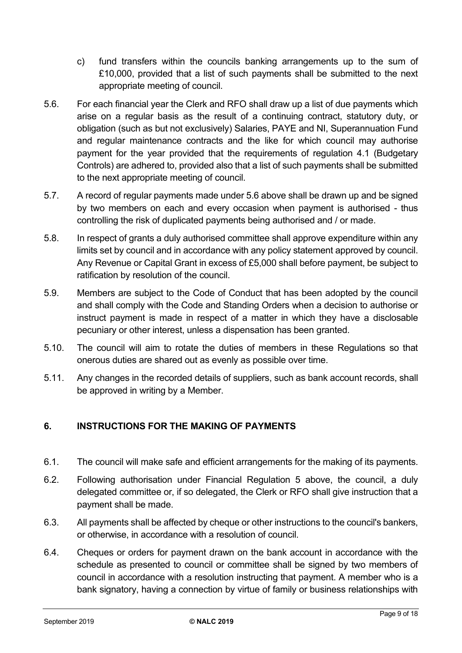- c) fund transfers within the councils banking arrangements up to the sum of £10,000, provided that a list of such payments shall be submitted to the next appropriate meeting of council.
- 5.6. For each financial year the Clerk and RFO shall draw up a list of due payments which arise on a regular basis as the result of a continuing contract, statutory duty, or obligation (such as but not exclusively) Salaries, PAYE and NI, Superannuation Fund and regular maintenance contracts and the like for which council may authorise payment for the year provided that the requirements of regulation 4.1 (Budgetary Controls) are adhered to, provided also that a list of such payments shall be submitted to the next appropriate meeting of council.
- 5.7. A record of regular payments made under 5.6 above shall be drawn up and be signed by two members on each and every occasion when payment is authorised - thus controlling the risk of duplicated payments being authorised and / or made.
- 5.8. In respect of grants a duly authorised committee shall approve expenditure within any limits set by council and in accordance with any policy statement approved by council. Any Revenue or Capital Grant in excess of £5,000 shall before payment, be subject to ratification by resolution of the council.
- 5.9. Members are subject to the Code of Conduct that has been adopted by the council and shall comply with the Code and Standing Orders when a decision to authorise or instruct payment is made in respect of a matter in which they have a disclosable pecuniary or other interest, unless a dispensation has been granted.
- 5.10. The council will aim to rotate the duties of members in these Regulations so that onerous duties are shared out as evenly as possible over time.
- 5.11. Any changes in the recorded details of suppliers, such as bank account records, shall be approved in writing by a Member.

# <span id="page-8-0"></span>**6. INSTRUCTIONS FOR THE MAKING OF PAYMENTS**

- 6.1. The council will make safe and efficient arrangements for the making of its payments.
- 6.2. Following authorisation under Financial Regulation 5 above, the council, a duly delegated committee or, if so delegated, the Clerk or RFO shall give instruction that a payment shall be made.
- 6.3. All payments shall be affected by cheque or other instructions to the council's bankers, or otherwise, in accordance with a resolution of council.
- 6.4. Cheques or orders for payment drawn on the bank account in accordance with the schedule as presented to council or committee shall be signed by two members of council in accordance with a resolution instructing that payment. A member who is a bank signatory, having a connection by virtue of family or business relationships with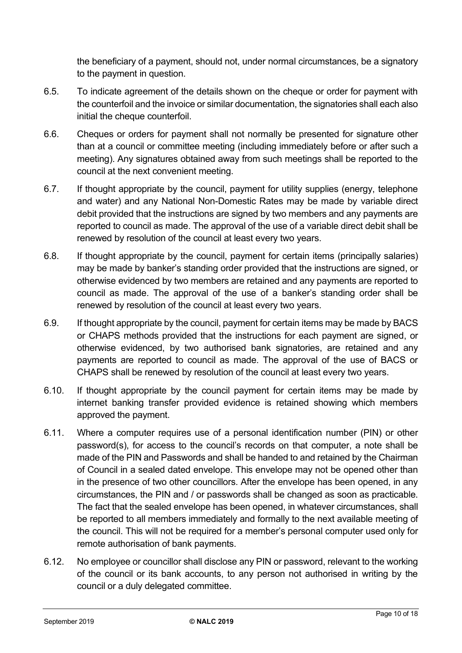the beneficiary of a payment, should not, under normal circumstances, be a signatory to the payment in question.

- 6.5. To indicate agreement of the details shown on the cheque or order for payment with the counterfoil and the invoice or similar documentation, the signatories shall each also initial the cheque counterfoil.
- 6.6. Cheques or orders for payment shall not normally be presented for signature other than at a council or committee meeting (including immediately before or after such a meeting). Any signatures obtained away from such meetings shall be reported to the council at the next convenient meeting.
- 6.7. If thought appropriate by the council, payment for utility supplies (energy, telephone and water) and any National Non-Domestic Rates may be made by variable direct debit provided that the instructions are signed by two members and any payments are reported to council as made. The approval of the use of a variable direct debit shall be renewed by resolution of the council at least every two years.
- 6.8. If thought appropriate by the council, payment for certain items (principally salaries) may be made by banker's standing order provided that the instructions are signed, or otherwise evidenced by two members are retained and any payments are reported to council as made. The approval of the use of a banker's standing order shall be renewed by resolution of the council at least every two years.
- 6.9. If thought appropriate by the council, payment for certain items may be made by BACS or CHAPS methods provided that the instructions for each payment are signed, or otherwise evidenced, by two authorised bank signatories, are retained and any payments are reported to council as made. The approval of the use of BACS or CHAPS shall be renewed by resolution of the council at least every two years.
- 6.10. If thought appropriate by the council payment for certain items may be made by internet banking transfer provided evidence is retained showing which members approved the payment.
- 6.11. Where a computer requires use of a personal identification number (PIN) or other password(s), for access to the council's records on that computer, a note shall be made of the PIN and Passwords and shall be handed to and retained by the Chairman of Council in a sealed dated envelope. This envelope may not be opened other than in the presence of two other councillors. After the envelope has been opened, in any circumstances, the PIN and / or passwords shall be changed as soon as practicable. The fact that the sealed envelope has been opened, in whatever circumstances, shall be reported to all members immediately and formally to the next available meeting of the council. This will not be required for a member's personal computer used only for remote authorisation of bank payments.
- 6.12. No employee or councillor shall disclose any PIN or password, relevant to the working of the council or its bank accounts, to any person not authorised in writing by the council or a duly delegated committee.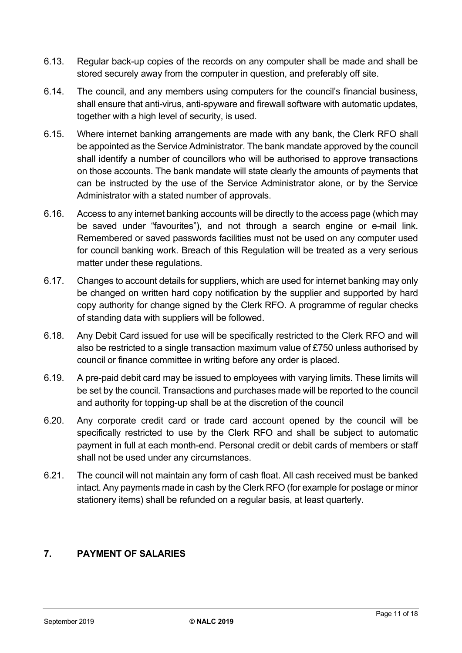- 6.13. Regular back-up copies of the records on any computer shall be made and shall be stored securely away from the computer in question, and preferably off site.
- 6.14. The council, and any members using computers for the council's financial business, shall ensure that anti-virus, anti-spyware and firewall software with automatic updates, together with a high level of security, is used.
- 6.15. Where internet banking arrangements are made with any bank, the Clerk RFO shall be appointed as the Service Administrator. The bank mandate approved by the council shall identify a number of councillors who will be authorised to approve transactions on those accounts. The bank mandate will state clearly the amounts of payments that can be instructed by the use of the Service Administrator alone, or by the Service Administrator with a stated number of approvals.
- 6.16. Access to any internet banking accounts will be directly to the access page (which may be saved under "favourites"), and not through a search engine or e-mail link. Remembered or saved passwords facilities must not be used on any computer used for council banking work. Breach of this Regulation will be treated as a very serious matter under these regulations.
- 6.17. Changes to account details for suppliers, which are used for internet banking may only be changed on written hard copy notification by the supplier and supported by hard copy authority for change signed by the Clerk RFO. A programme of regular checks of standing data with suppliers will be followed.
- 6.18. Any Debit Card issued for use will be specifically restricted to the Clerk RFO and will also be restricted to a single transaction maximum value of £750 unless authorised by council or finance committee in writing before any order is placed.
- 6.19. A pre-paid debit card may be issued to employees with varying limits. These limits will be set by the council. Transactions and purchases made will be reported to the council and authority for topping-up shall be at the discretion of the council
- 6.20. Any corporate credit card or trade card account opened by the council will be specifically restricted to use by the Clerk RFO and shall be subject to automatic payment in full at each month-end. Personal credit or debit cards of members or staff shall not be used under any circumstances.
- 6.21. The council will not maintain any form of cash float. All cash received must be banked intact. Any payments made in cash by the Clerk RFO (for example for postage or minor stationery items) shall be refunded on a regular basis, at least quarterly.

### <span id="page-10-0"></span>**7. PAYMENT OF SALARIES**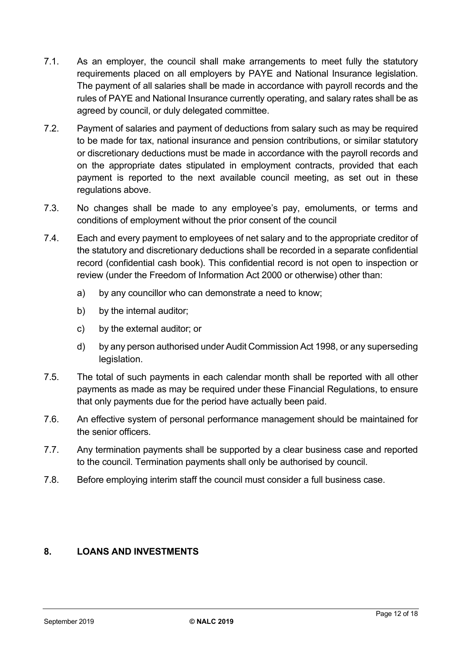- 7.1. As an employer, the council shall make arrangements to meet fully the statutory requirements placed on all employers by PAYE and National Insurance legislation. The payment of all salaries shall be made in accordance with payroll records and the rules of PAYE and National Insurance currently operating, and salary rates shall be as agreed by council, or duly delegated committee.
- 7.2. Payment of salaries and payment of deductions from salary such as may be required to be made for tax, national insurance and pension contributions, or similar statutory or discretionary deductions must be made in accordance with the payroll records and on the appropriate dates stipulated in employment contracts, provided that each payment is reported to the next available council meeting, as set out in these regulations above.
- 7.3. No changes shall be made to any employee's pay, emoluments, or terms and conditions of employment without the prior consent of the council
- 7.4. Each and every payment to employees of net salary and to the appropriate creditor of the statutory and discretionary deductions shall be recorded in a separate confidential record (confidential cash book). This confidential record is not open to inspection or review (under the Freedom of Information Act 2000 or otherwise) other than:
	- a) by any councillor who can demonstrate a need to know;
	- b) by the internal auditor;
	- c) by the external auditor; or
	- d) by any person authorised under Audit Commission Act 1998, or any superseding legislation.
- 7.5. The total of such payments in each calendar month shall be reported with all other payments as made as may be required under these Financial Regulations, to ensure that only payments due for the period have actually been paid.
- 7.6. An effective system of personal performance management should be maintained for the senior officers.
- 7.7. Any termination payments shall be supported by a clear business case and reported to the council. Termination payments shall only be authorised by council.
- 7.8. Before employing interim staff the council must consider a full business case.

#### <span id="page-11-0"></span>**8. LOANS AND INVESTMENTS**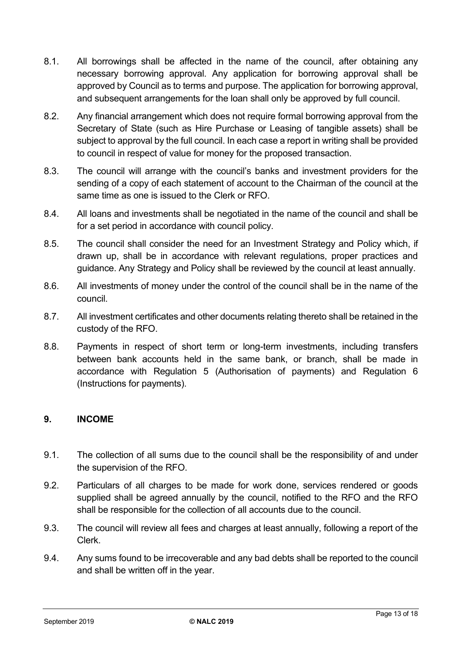- 8.1. All borrowings shall be affected in the name of the council, after obtaining any necessary borrowing approval. Any application for borrowing approval shall be approved by Council as to terms and purpose. The application for borrowing approval, and subsequent arrangements for the loan shall only be approved by full council.
- 8.2. Any financial arrangement which does not require formal borrowing approval from the Secretary of State (such as Hire Purchase or Leasing of tangible assets) shall be subject to approval by the full council. In each case a report in writing shall be provided to council in respect of value for money for the proposed transaction.
- 8.3. The council will arrange with the council's banks and investment providers for the sending of a copy of each statement of account to the Chairman of the council at the same time as one is issued to the Clerk or RFO.
- 8.4. All loans and investments shall be negotiated in the name of the council and shall be for a set period in accordance with council policy.
- 8.5. The council shall consider the need for an Investment Strategy and Policy which, if drawn up, shall be in accordance with relevant regulations, proper practices and guidance. Any Strategy and Policy shall be reviewed by the council at least annually.
- 8.6. All investments of money under the control of the council shall be in the name of the council.
- 8.7. All investment certificates and other documents relating thereto shall be retained in the custody of the RFO.
- 8.8. Payments in respect of short term or long-term investments, including transfers between bank accounts held in the same bank, or branch, shall be made in accordance with Regulation 5 (Authorisation of payments) and Regulation 6 (Instructions for payments).

### <span id="page-12-0"></span>**9. INCOME**

- 9.1. The collection of all sums due to the council shall be the responsibility of and under the supervision of the RFO.
- 9.2. Particulars of all charges to be made for work done, services rendered or goods supplied shall be agreed annually by the council, notified to the RFO and the RFO shall be responsible for the collection of all accounts due to the council.
- 9.3. The council will review all fees and charges at least annually, following a report of the Clerk.
- 9.4. Any sums found to be irrecoverable and any bad debts shall be reported to the council and shall be written off in the year.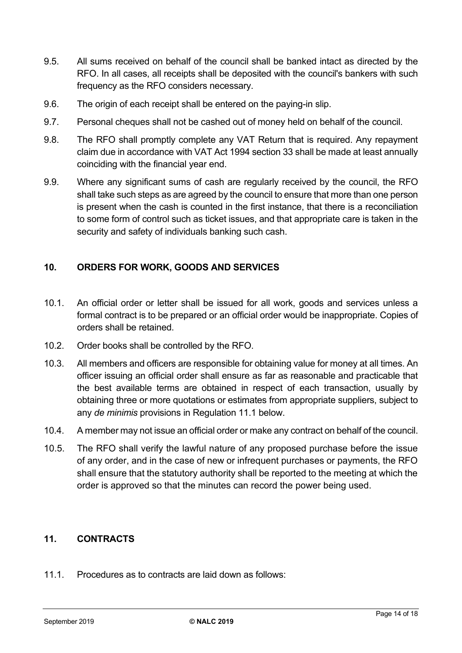- 9.5. All sums received on behalf of the council shall be banked intact as directed by the RFO. In all cases, all receipts shall be deposited with the council's bankers with such frequency as the RFO considers necessary.
- 9.6. The origin of each receipt shall be entered on the paying-in slip.
- 9.7. Personal cheques shall not be cashed out of money held on behalf of the council.
- 9.8. The RFO shall promptly complete any VAT Return that is required. Any repayment claim due in accordance with VAT Act 1994 section 33 shall be made at least annually coinciding with the financial year end.
- 9.9. Where any significant sums of cash are regularly received by the council, the RFO shall take such steps as are agreed by the council to ensure that more than one person is present when the cash is counted in the first instance, that there is a reconciliation to some form of control such as ticket issues, and that appropriate care is taken in the security and safety of individuals banking such cash.

### <span id="page-13-0"></span>**10. ORDERS FOR WORK, GOODS AND SERVICES**

- 10.1. An official order or letter shall be issued for all work, goods and services unless a formal contract is to be prepared or an official order would be inappropriate. Copies of orders shall be retained.
- 10.2. Order books shall be controlled by the RFO.
- 10.3. All members and officers are responsible for obtaining value for money at all times. An officer issuing an official order shall ensure as far as reasonable and practicable that the best available terms are obtained in respect of each transaction, usually by obtaining three or more quotations or estimates from appropriate suppliers, subject to any *de minimis* provisions in Regulation 11.1 below.
- 10.4. A member may not issue an official order or make any contract on behalf of the council.
- 10.5. The RFO shall verify the lawful nature of any proposed purchase before the issue of any order, and in the case of new or infrequent purchases or payments, the RFO shall ensure that the statutory authority shall be reported to the meeting at which the order is approved so that the minutes can record the power being used.

#### <span id="page-13-1"></span>**11. CONTRACTS**

11.1. Procedures as to contracts are laid down as follows: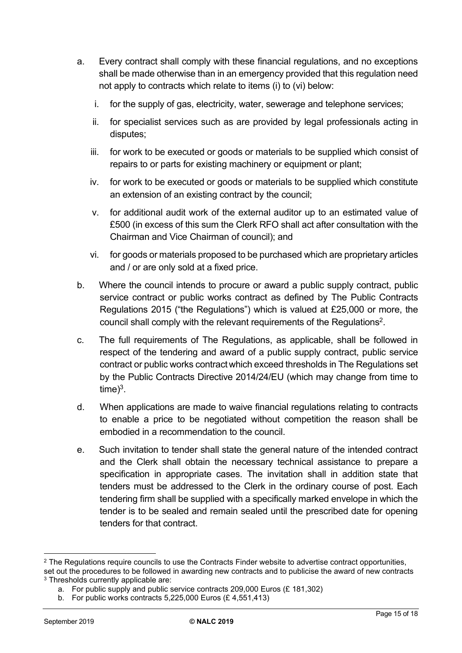- a. Every contract shall comply with these financial regulations, and no exceptions shall be made otherwise than in an emergency provided that this regulation need not apply to contracts which relate to items (i) to (vi) below:
	- i. for the supply of gas, electricity, water, sewerage and telephone services;
	- ii. for specialist services such as are provided by legal professionals acting in disputes;
	- iii. for work to be executed or goods or materials to be supplied which consist of repairs to or parts for existing machinery or equipment or plant;
	- iv. for work to be executed or goods or materials to be supplied which constitute an extension of an existing contract by the council;
	- v. for additional audit work of the external auditor up to an estimated value of £500 (in excess of this sum the Clerk RFO shall act after consultation with the Chairman and Vice Chairman of council); and
	- vi. for goods or materials proposed to be purchased which are proprietary articles and / or are only sold at a fixed price.
- b. Where the council intends to procure or award a public supply contract, public service contract or public works contract as defined by The Public Contracts Regulations 2015 ("the Regulations") which is valued at £25,000 or more, the council shall comply with the relevant requirements of the Regulations<sup>2</sup>.
- c. The full requirements of The Regulations, as applicable, shall be followed in respect of the tendering and award of a public supply contract, public service contract or public works contractwhich exceed thresholds in The Regulations set by the Public Contracts Directive 2014/24/EU (which may change from time to  $time)^3$ .
- d. When applications are made to waive financial regulations relating to contracts to enable a price to be negotiated without competition the reason shall be embodied in a recommendation to the council.
- e. Such invitation to tender shall state the general nature of the intended contract and the Clerk shall obtain the necessary technical assistance to prepare a specification in appropriate cases. The invitation shall in addition state that tenders must be addressed to the Clerk in the ordinary course of post. Each tendering firm shall be supplied with a specifically marked envelope in which the tender is to be sealed and remain sealed until the prescribed date for opening tenders for that contract.

<sup>&</sup>lt;sup>2</sup> The Regulations require councils to use the Contracts Finder website to advertise contract opportunities,

set out the procedures to be followed in awarding new contracts and to publicise the award of new contracts <sup>3</sup> Thresholds currently applicable are:

a. For public supply and public service contracts 209,000 Euros (£ 181,302)

b. For public works contracts 5,225,000 Euros (£ 4,551,413)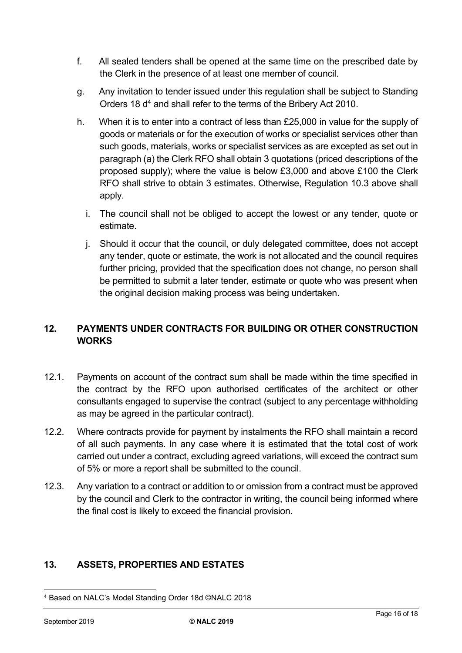- f. All sealed tenders shall be opened at the same time on the prescribed date by the Clerk in the presence of at least one member of council.
- g. Any invitation to tender issued under this regulation shall be subject to Standing Orders 18 d<sup>4</sup> and shall refer to the terms of the Bribery Act 2010.
- h. When it is to enter into a contract of less than £25,000 in value for the supply of goods or materials or for the execution of works or specialist services other than such goods, materials, works or specialist services as are excepted as set out in paragraph (a) the Clerk RFO shall obtain 3 quotations (priced descriptions of the proposed supply); where the value is below £3,000 and above £100 the Clerk RFO shall strive to obtain 3 estimates. Otherwise, Regulation 10.3 above shall apply.
	- i. The council shall not be obliged to accept the lowest or any tender, quote or estimate.
	- j. Should it occur that the council, or duly delegated committee, does not accept any tender, quote or estimate, the work is not allocated and the council requires further pricing, provided that the specification does not change, no person shall be permitted to submit a later tender, estimate or quote who was present when the original decision making process was being undertaken.

# <span id="page-15-0"></span>**12. PAYMENTS UNDER CONTRACTS FOR BUILDING OR OTHER CONSTRUCTION WORKS**

- 12.1. Payments on account of the contract sum shall be made within the time specified in the contract by the RFO upon authorised certificates of the architect or other consultants engaged to supervise the contract (subject to any percentage withholding as may be agreed in the particular contract).
- 12.2. Where contracts provide for payment by instalments the RFO shall maintain a record of all such payments. In any case where it is estimated that the total cost of work carried out under a contract, excluding agreed variations, will exceed the contract sum of 5% or more a report shall be submitted to the council.
- 12.3. Any variation to a contract or addition to or omission from a contract must be approved by the council and Clerk to the contractor in writing, the council being informed where the final cost is likely to exceed the financial provision.

# <span id="page-15-1"></span>**13. ASSETS, PROPERTIES AND ESTATES**

<sup>4</sup> Based on NALC's Model Standing Order 18d ©NALC 2018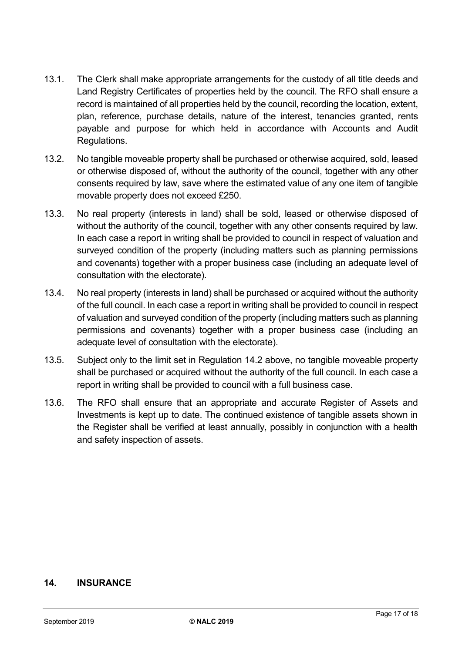- 13.1. The Clerk shall make appropriate arrangements for the custody of all title deeds and Land Registry Certificates of properties held by the council. The RFO shall ensure a record is maintained of all properties held by the council, recording the location, extent, plan, reference, purchase details, nature of the interest, tenancies granted, rents payable and purpose for which held in accordance with Accounts and Audit Regulations.
- 13.2. No tangible moveable property shall be purchased or otherwise acquired, sold, leased or otherwise disposed of, without the authority of the council, together with any other consents required by law, save where the estimated value of any one item of tangible movable property does not exceed £250.
- 13.3. No real property (interests in land) shall be sold, leased or otherwise disposed of without the authority of the council, together with any other consents required by law. In each case a report in writing shall be provided to council in respect of valuation and surveyed condition of the property (including matters such as planning permissions and covenants) together with a proper business case (including an adequate level of consultation with the electorate).
- 13.4. No real property (interests in land) shall be purchased or acquired without the authority of the full council. In each case a report in writing shall be provided to council in respect of valuation and surveyed condition of the property (including matters such as planning permissions and covenants) together with a proper business case (including an adequate level of consultation with the electorate).
- 13.5. Subject only to the limit set in Regulation 14.2 above, no tangible moveable property shall be purchased or acquired without the authority of the full council. In each case a report in writing shall be provided to council with a full business case.
- 13.6. The RFO shall ensure that an appropriate and accurate Register of Assets and Investments is kept up to date. The continued existence of tangible assets shown in the Register shall be verified at least annually, possibly in conjunction with a health and safety inspection of assets.

### <span id="page-16-0"></span>**14. INSURANCE**